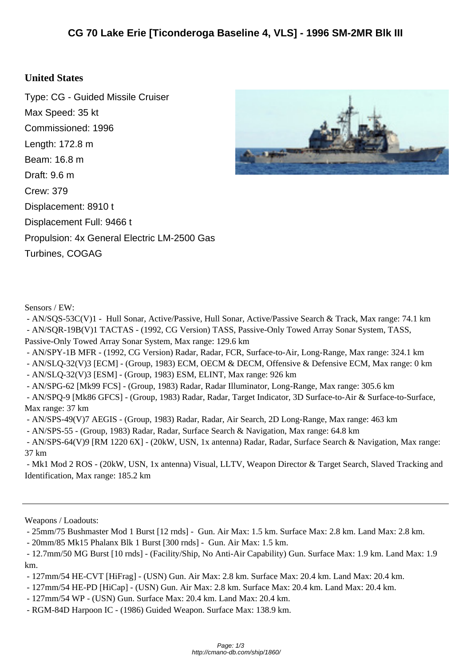## **United St[ates](http://cmano-db.com/ship/1860/)**

Type: CG - Guided Missile Cruiser Max Speed: 35 kt Commissioned: 1996 Length: 172.8 m Beam: 16.8 m Draft: 9.6 m Crew: 379 Displacement: 8910 t Displacement Full: 9466 t Propulsion: 4x General Electric LM-2500 Gas Turbines, COGAG



Sensors / EW:

 - AN/SQS-53C(V)1 - Hull Sonar, Active/Passive, Hull Sonar, Active/Passive Search & Track, Max range: 74.1 km - AN/SQR-19B(V)1 TACTAS - (1992, CG Version) TASS, Passive-Only Towed Array Sonar System, TASS, Passive-Only Towed Array Sonar System, Max range: 129.6 km

- AN/SPY-1B MFR - (1992, CG Version) Radar, Radar, FCR, Surface-to-Air, Long-Range, Max range: 324.1 km

- AN/SLQ-32(V)3 [ECM] - (Group, 1983) ECM, OECM & DECM, Offensive & Defensive ECM, Max range: 0 km

- AN/SLQ-32(V)3 [ESM] - (Group, 1983) ESM, ELINT, Max range: 926 km

- AN/SPG-62 [Mk99 FCS] - (Group, 1983) Radar, Radar Illuminator, Long-Range, Max range: 305.6 km

 - AN/SPQ-9 [Mk86 GFCS] - (Group, 1983) Radar, Radar, Target Indicator, 3D Surface-to-Air & Surface-to-Surface, Max range: 37 km

- AN/SPS-49(V)7 AEGIS - (Group, 1983) Radar, Radar, Air Search, 2D Long-Range, Max range: 463 km

- AN/SPS-55 - (Group, 1983) Radar, Radar, Surface Search & Navigation, Max range: 64.8 km

 - AN/SPS-64(V)9 [RM 1220 6X] - (20kW, USN, 1x antenna) Radar, Radar, Surface Search & Navigation, Max range: 37 km

 - Mk1 Mod 2 ROS - (20kW, USN, 1x antenna) Visual, LLTV, Weapon Director & Target Search, Slaved Tracking and Identification, Max range: 185.2 km

Weapons / Loadouts:

- 25mm/75 Bushmaster Mod 1 Burst [12 rnds] - Gun. Air Max: 1.5 km. Surface Max: 2.8 km. Land Max: 2.8 km.

- 20mm/85 Mk15 Phalanx Blk 1 Burst [300 rnds] - Gun. Air Max: 1.5 km.

 - 12.7mm/50 MG Burst [10 rnds] - (Facility/Ship, No Anti-Air Capability) Gun. Surface Max: 1.9 km. Land Max: 1.9 km.

- 127mm/54 HE-CVT [HiFrag] - (USN) Gun. Air Max: 2.8 km. Surface Max: 20.4 km. Land Max: 20.4 km.

- 127mm/54 HE-PD [HiCap] - (USN) Gun. Air Max: 2.8 km. Surface Max: 20.4 km. Land Max: 20.4 km.

- 127mm/54 WP - (USN) Gun. Surface Max: 20.4 km. Land Max: 20.4 km.

- RGM-84D Harpoon IC - (1986) Guided Weapon. Surface Max: 138.9 km.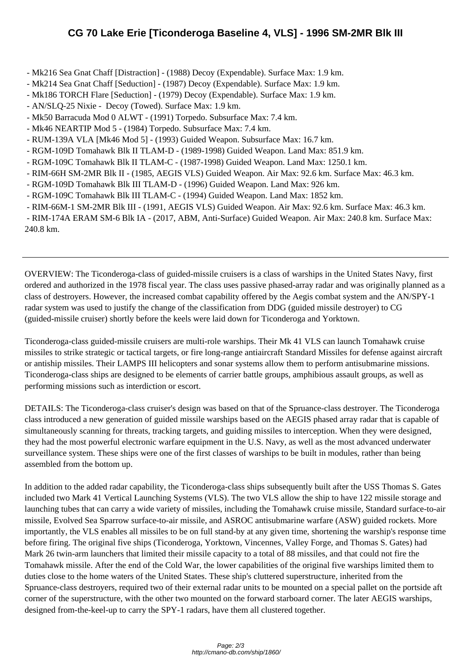- Mk216 Se[a Gnat Chaff \[Distraction\] \(1988\) Decoy \(Expendable\). Surface Max: 1.9 km.](http://cmano-db.com/ship/1860/)
- Mk214 Sea Gnat Chaff [Seduction] (1987) Decoy (Expendable). Surface Max: 1.9 km.
- Mk186 TORCH Flare [Seduction] (1979) Decoy (Expendable). Surface Max: 1.9 km.
- AN/SLQ-25 Nixie Decoy (Towed). Surface Max: 1.9 km.
- Mk50 Barracuda Mod 0 ALWT (1991) Torpedo. Subsurface Max: 7.4 km.
- Mk46 NEARTIP Mod 5 (1984) Torpedo. Subsurface Max: 7.4 km.
- RUM-139A VLA [Mk46 Mod 5] (1993) Guided Weapon. Subsurface Max: 16.7 km.
- RGM-109D Tomahawk Blk II TLAM-D (1989-1998) Guided Weapon. Land Max: 851.9 km.
- RGM-109C Tomahawk Blk II TLAM-C (1987-1998) Guided Weapon. Land Max: 1250.1 km.
- RIM-66H SM-2MR Blk II (1985, AEGIS VLS) Guided Weapon. Air Max: 92.6 km. Surface Max: 46.3 km.
- RGM-109D Tomahawk Blk III TLAM-D (1996) Guided Weapon. Land Max: 926 km.
- RGM-109C Tomahawk Blk III TLAM-C (1994) Guided Weapon. Land Max: 1852 km.
- RIM-66M-1 SM-2MR Blk III (1991, AEGIS VLS) Guided Weapon. Air Max: 92.6 km. Surface Max: 46.3 km.

 - RIM-174A ERAM SM-6 Blk IA - (2017, ABM, Anti-Surface) Guided Weapon. Air Max: 240.8 km. Surface Max: 240.8 km.

OVERVIEW: The Ticonderoga-class of guided-missile cruisers is a class of warships in the United States Navy, first ordered and authorized in the 1978 fiscal year. The class uses passive phased-array radar and was originally planned as a class of destroyers. However, the increased combat capability offered by the Aegis combat system and the AN/SPY-1 radar system was used to justify the change of the classification from DDG (guided missile destroyer) to CG (guided-missile cruiser) shortly before the keels were laid down for Ticonderoga and Yorktown.

Ticonderoga-class guided-missile cruisers are multi-role warships. Their Mk 41 VLS can launch Tomahawk cruise missiles to strike strategic or tactical targets, or fire long-range antiaircraft Standard Missiles for defense against aircraft or antiship missiles. Their LAMPS III helicopters and sonar systems allow them to perform antisubmarine missions. Ticonderoga-class ships are designed to be elements of carrier battle groups, amphibious assault groups, as well as performing missions such as interdiction or escort.

DETAILS: The Ticonderoga-class cruiser's design was based on that of the Spruance-class destroyer. The Ticonderoga class introduced a new generation of guided missile warships based on the AEGIS phased array radar that is capable of simultaneously scanning for threats, tracking targets, and guiding missiles to interception. When they were designed, they had the most powerful electronic warfare equipment in the U.S. Navy, as well as the most advanced underwater surveillance system. These ships were one of the first classes of warships to be built in modules, rather than being assembled from the bottom up.

In addition to the added radar capability, the Ticonderoga-class ships subsequently built after the USS Thomas S. Gates included two Mark 41 Vertical Launching Systems (VLS). The two VLS allow the ship to have 122 missile storage and launching tubes that can carry a wide variety of missiles, including the Tomahawk cruise missile, Standard surface-to-air missile, Evolved Sea Sparrow surface-to-air missile, and ASROC antisubmarine warfare (ASW) guided rockets. More importantly, the VLS enables all missiles to be on full stand-by at any given time, shortening the warship's response time before firing. The original five ships (Ticonderoga, Yorktown, Vincennes, Valley Forge, and Thomas S. Gates) had Mark 26 twin-arm launchers that limited their missile capacity to a total of 88 missiles, and that could not fire the Tomahawk missile. After the end of the Cold War, the lower capabilities of the original five warships limited them to duties close to the home waters of the United States. These ship's cluttered superstructure, inherited from the Spruance-class destroyers, required two of their external radar units to be mounted on a special pallet on the portside aft corner of the superstructure, with the other two mounted on the forward starboard corner. The later AEGIS warships, designed from-the-keel-up to carry the SPY-1 radars, have them all clustered together.